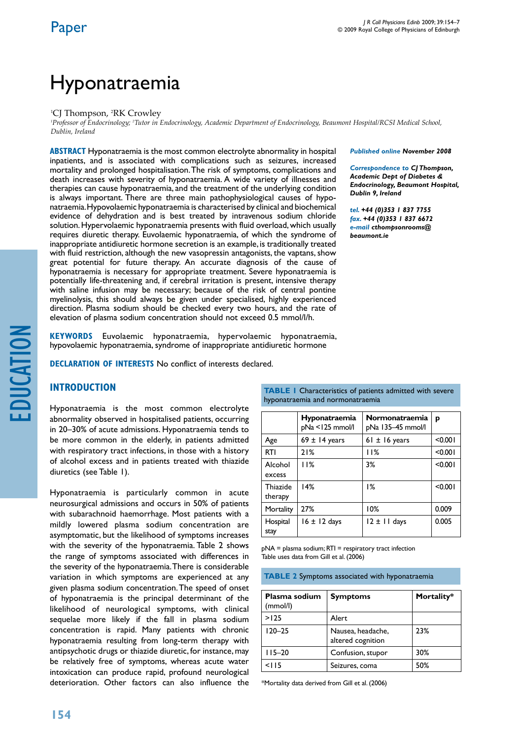# Hyponatraemia

#### <sup>1</sup>CJ Thompson, <sup>2</sup>RK Crowley

<sup>1</sup>Professor of Endocrinology; <sup>2</sup>Tutor in Endocrinology, Academic Department of Endocrinology, Beaumont Hospital/RCSI Medical School, *Dublin, Ireland*

**ABSTRACT** Hyponatraemia is the most common electrolyte abnormality in hospital inpatients, and is associated with complications such as seizures, increased mortality and prolonged hospitalisation. The risk of symptoms, complications and death increases with severity of hyponatraemia. A wide variety of illnesses and therapies can cause hyponatraemia, and the treatment of the underlying condition is always important. There are three main pathophysiological causes of hyponatraemia. Hypovolaemic hyponatraemia is characterised by clinical and biochemical evidence of dehydration and is best treated by intravenous sodium chloride solution. Hypervolaemic hyponatraemia presents with fluid overload, which usually requires diuretic therapy. Euvolaemic hyponatraemia, of which the syndrome of inappropriate antidiuretic hormone secretion is an example, is traditionally treated with fluid restriction, although the new vasopressin antagonists, the vaptans, show great potential for future therapy. An accurate diagnosis of the cause of hyponatraemia is necessary for appropriate treatment. Severe hyponatraemia is potentially life-threatening and, if cerebral irritation is present, intensive therapy with saline infusion may be necessary; because of the risk of central pontine myelinolysis, this should always be given under specialised, highly experienced direction. Plasma sodium should be checked every two hours, and the rate of elevation of plasma sodium concentration should not exceed 0.5 mmol/l/h.

**KEYWORDS** Euvolaemic hyponatraemia, hypervolaemic hyponatraemia, hypovolaemic hyponatraemia, syndrome of inappropriate antidiuretic hormone

**Declaration of Interests** No conflict of interests declared.

### **introduction**

Hyponatraemia is the most common electrolyte abnormality observed in hospitalised patients, occurring in 20–30% of acute admissions. Hyponatraemia tends to be more common in the elderly, in patients admitted with respiratory tract infections, in those with a history of alcohol excess and in patients treated with thiazide diuretics (see Table 1).

Hyponatraemia is particularly common in acute neurosurgical admissions and occurs in 50% of patients with subarachnoid haemorrhage. Most patients with a mildly lowered plasma sodium concentration are asymptomatic, but the likelihood of symptoms increases with the severity of the hyponatraemia. Table 2 shows the range of symptoms associated with differences in the severity of the hyponatraemia. There is considerable variation in which symptoms are experienced at any given plasma sodium concentration. The speed of onset of hyponatraemia is the principal determinant of the likelihood of neurological symptoms, with clinical sequelae more likely if the fall in plasma sodium concentration is rapid. Many patients with chronic hyponatraemia resulting from long-term therapy with antipsychotic drugs or thiazide diuretic, for instance, may be relatively free of symptoms, whereas acute water intoxication can produce rapid, profound neurological deterioration. Other factors can also influence the

#### *Published online November 2008*

*Correspondence to CJ Thompson, Academic Dept of Diabetes & Endocrinology, Beaumont Hospital, Dublin 9, Ireland*

*tel. +44 (0)353 1 837 7755 fax. +44 (0)353 1 837 6672 e-mail cthompsonrooms@ beaumont.ie*

| hyponatraemia and normonatraemia |                                  |                                     |         |  |
|----------------------------------|----------------------------------|-------------------------------------|---------|--|
|                                  | Hyponatraemia<br>pNa <125 mmol/l | Normonatraemia<br>pNa 135-45 mmol/l | р       |  |
| Age                              | $69 \pm 14$ years                | 61 $\pm$ 16 years                   | < 0.001 |  |
| <b>RTI</b>                       | 21%                              | 11%                                 | < 0.001 |  |
| Alcohol<br>excess                | 11%                              | 3%                                  | < 0.001 |  |
| Thiazide<br>therapy              | 14%                              | 1%                                  | < 0.001 |  |
| Mortality                        | 27%                              | 10%                                 | 0.009   |  |
| Hospital                         | $16 \pm 12$ days                 | $12 \pm 11$ days                    | 0.005   |  |

**TABLE 1** Characteristics of patients admitted with severe

pNA = plasma sodium; RTI = respiratory tract infection Table uses data from Gill et al. (2006)

stay

**TABLE 2** Symptoms associated with hyponatraemia

| Plasma sodium<br>(mmol/l) | <b>Symptoms</b>                        | Mortality* |
|---------------------------|----------------------------------------|------------|
| >125                      | Alert                                  |            |
| $120 - 25$                | Nausea, headache,<br>altered cognition | 23%        |
| $115 - 20$                | Confusion, stupor                      | 30%        |
| $<$ 115                   | Seizures, coma                         | 50%        |

\*Mortality data derived from Gill et al. (2006)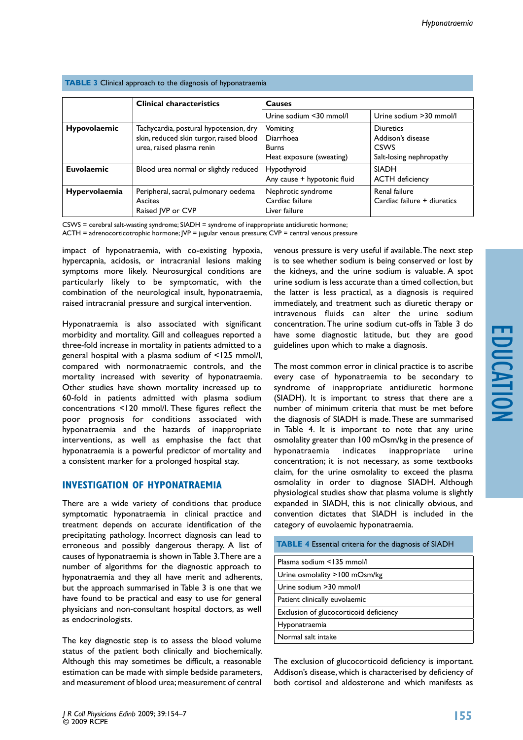|                      | <b>Clinical characteristics</b>                                                   | Causes                                                 |                                              |
|----------------------|-----------------------------------------------------------------------------------|--------------------------------------------------------|----------------------------------------------|
|                      |                                                                                   | Urine sodium <30 mmol/l                                | Urine sodium > 30 mmol/l                     |
| <b>Hypovolaemic</b>  | Tachycardia, postural hypotension, dry<br>skin, reduced skin turgor, raised blood | Vomiting<br>Diarrhoea                                  | <b>Diuretics</b><br>Addison's disease        |
|                      | urea, raised plasma renin                                                         | <b>Burns</b><br>Heat exposure (sweating)               | <b>CSWS</b><br>Salt-losing nephropathy       |
| <b>Euvolaemic</b>    | Blood urea normal or slightly reduced                                             | Hypothyroid<br>Any cause + hypotonic fluid             | <b>SIADH</b><br><b>ACTH</b> deficiency       |
| <b>Hypervolaemia</b> | Peripheral, sacral, pulmonary oedema<br>Ascites<br>Raised JVP or CVP              | Nephrotic syndrome<br>Cardiac failure<br>Liver failure | Renal failure<br>Cardiac failure + diuretics |

#### **TABLE 3** Clinical approach to the diagnosis of hyponatraemia

CSWS = cerebral salt-wasting syndrome; SIADH = syndrome of inappropriate antidiuretic hormone;

ACTH = adrenocorticotrophic hormone; JVP = jugular venous pressure; CVP = central venous pressure

impact of hyponatraemia, with co-existing hypoxia, hypercapnia, acidosis, or intracranial lesions making symptoms more likely. Neurosurgical conditions are particularly likely to be symptomatic, with the combination of the neurological insult, hyponatraemia, raised intracranial pressure and surgical intervention.

Hyponatraemia is also associated with significant morbidity and mortality. Gill and colleagues reported a three-fold increase in mortality in patients admitted to a general hospital with a plasma sodium of <125 mmol/l, compared with normonatraemic controls, and the mortality increased with severity of hyponatraemia. Other studies have shown mortality increased up to 60-fold in patients admitted with plasma sodium concentrations <120 mmol/l. These figures reflect the poor prognosis for conditions associated with hyponatraemia and the hazards of inappropriate interventions, as well as emphasise the fact that hyponatraemia is a powerful predictor of mortality and a consistent marker for a prolonged hospital stay.

#### **Investigation of hyponatraemia**

There are a wide variety of conditions that produce symptomatic hyponatraemia in clinical practice and treatment depends on accurate identification of the precipitating pathology. Incorrect diagnosis can lead to erroneous and possibly dangerous therapy. A list of causes of hyponatraemia is shown in Table 3. There are a number of algorithms for the diagnostic approach to hyponatraemia and they all have merit and adherents, but the approach summarised in Table 3 is one that we have found to be practical and easy to use for general physicians and non-consultant hospital doctors, as well as endocrinologists.

The key diagnostic step is to assess the blood volume status of the patient both clinically and biochemically. Although this may sometimes be difficult, a reasonable estimation can be made with simple bedside parameters, and measurement of blood urea; measurement of central

venous pressure is very useful if available. The next step is to see whether sodium is being conserved or lost by the kidneys, and the urine sodium is valuable. A spot urine sodium is less accurate than a timed collection, but the latter is less practical, as a diagnosis is required immediately, and treatment such as diuretic therapy or intravenous fluids can alter the urine sodium concentration. The urine sodium cut-offs in Table 3 do have some diagnostic latitude, but they are good guidelines upon which to make a diagnosis.

The most common error in clinical practice is to ascribe every case of hyponatraemia to be secondary to syndrome of inappropriate antidiuretic hormone (SIADH). It is important to stress that there are a number of minimum criteria that must be met before the diagnosis of SIADH is made. These are summarised in Table 4. It is important to note that any urine osmolality greater than 100 mOsm/kg in the presence of hyponatraemia indicates inappropriate urine concentration; it is not necessary, as some textbooks claim, for the urine osmolality to exceed the plasma osmolality in order to diagnose SIADH. Although physiological studies show that plasma volume is slightly expanded in SIADH, this is not clinically obvious, and convention dictates that SIADH is included in the category of euvolaemic hyponatraemia.

| <b>TABLE 4</b> Essential criteria for the diagnosis of SIADH |  |  |
|--------------------------------------------------------------|--|--|
| Plasma sodium <135 mmol/l                                    |  |  |
| Urine osmolality $>100$ mOsm/kg                              |  |  |
| Urine sodium > 30 mmol/l                                     |  |  |
| Patient clinically euvolaemic                                |  |  |
| Exclusion of glucocorticoid deficiency                       |  |  |
| Hyponatraemia                                                |  |  |
| Normal salt intake                                           |  |  |

The exclusion of glucocorticoid deficiency is important. Addison's disease, which is characterised by deficiency of both cortisol and aldosterone and which manifests as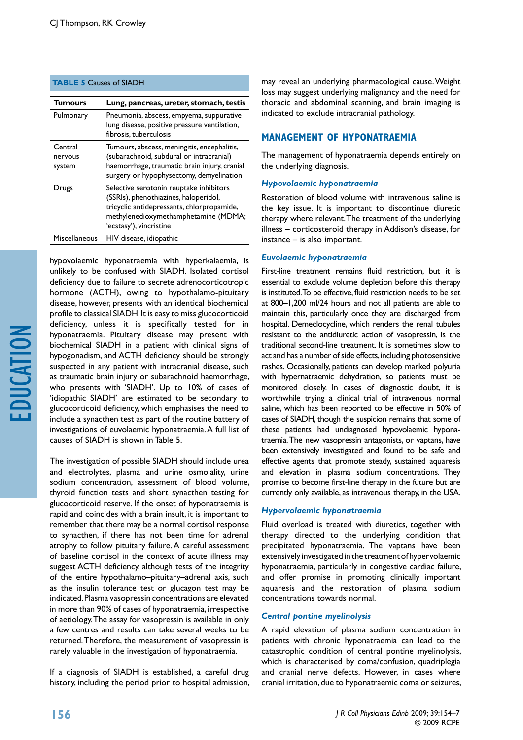| <b>Tumours</b>               | Lung, pancreas, ureter, stomach, testis                                                                                                                                                           |
|------------------------------|---------------------------------------------------------------------------------------------------------------------------------------------------------------------------------------------------|
| Pulmonary                    | Pneumonia, abscess, empyema, suppurative<br>lung disease, positive pressure ventilation,<br>fibrosis, tuberculosis                                                                                |
| Central<br>nervous<br>system | Tumours, abscess, meningitis, encephalitis,<br>(subarachnoid, subdural or intracranial)<br>haemorrhage, traumatic brain injury, cranial<br>surgery or hypophysectomy, demyelination               |
| Drugs                        | Selective serotonin reuptake inhibitors<br>(SSRIs), phenothiazines, haloperidol,<br>tricyclic antidepressants, chlorpropamide,<br>methylenedioxymethamphetamine (MDMA;<br>'ecstasy'), vincristine |
| <b>Miscellaneous</b>         | HIV disease, idiopathic                                                                                                                                                                           |

#### **table 5** Causes of SIADH

hypovolaemic hyponatraemia with hyperkalaemia, is unlikely to be confused with SIADH. Isolated cortisol deficiency due to failure to secrete adrenocorticotropic hormone (ACTH), owing to hypothalamo-pituitary disease, however, presents with an identical biochemical profile to classical SIADH. It is easy to miss glucocorticoid deficiency, unless it is specifically tested for in hyponatraemia. Pituitary disease may present with biochemical SIADH in a patient with clinical signs of hypogonadism, and ACTH deficiency should be strongly suspected in any patient with intracranial disease, such as traumatic brain injury or subarachnoid haemorrhage, who presents with 'SIADH'. Up to 10% of cases of 'idiopathic SIADH' are estimated to be secondary to glucocorticoid deficiency, which emphasises the need to include a synacthen test as part of the routine battery of investigations of euvolaemic hyponatraemia. A full list of causes of SIADH is shown in Table 5.

The investigation of possible SIADH should include urea and electrolytes, plasma and urine osmolality, urine sodium concentration, assessment of blood volume, thyroid function tests and short synacthen testing for glucocorticoid reserve. If the onset of hyponatraemia is rapid and coincides with a brain insult, it is important to remember that there may be a normal cortisol response to synacthen, if there has not been time for adrenal atrophy to follow pituitary failure. A careful assessment of baseline cortisol in the context of acute illness may suggest ACTH deficiency, although tests of the integrity of the entire hypothalamo–pituitary–adrenal axis, such as the insulin tolerance test or glucagon test may be indicated. Plasma vasopressin concentrations are elevated in more than 90% of cases of hyponatraemia, irrespective of aetiology. The assay for vasopressin is available in only a few centres and results can take several weeks to be returned. Therefore, the measurement of vasopressin is rarely valuable in the investigation of hyponatraemia.

If a diagnosis of SIADH is established, a careful drug history, including the period prior to hospital admission,

may reveal an underlying pharmacological cause. Weight loss may suggest underlying malignancy and the need for thoracic and abdominal scanning, and brain imaging is indicated to exclude intracranial pathology.

## **Management of hyponatraemia**

The management of hyponatraemia depends entirely on the underlying diagnosis.

#### *Hypovolaemic hyponatraemia*

Restoration of blood volume with intravenous saline is the key issue. It is important to discontinue diuretic therapy where relevant. The treatment of the underlying illness – corticosteroid therapy in Addison's disease, for instance – is also important.

#### *Euvolaemic hyponatraemia*

First-line treatment remains fluid restriction, but it is essential to exclude volume depletion before this therapy is instituted. To be effective, fluid restriction needs to be set at 800–1,200 ml/24 hours and not all patients are able to maintain this, particularly once they are discharged from hospital. Demeclocycline, which renders the renal tubules resistant to the antidiuretic action of vasopressin, is the traditional second-line treatment. It is sometimes slow to act and has a number of side effects, including photosensitive rashes. Occasionally, patients can develop marked polyuria with hypernatraemic dehydration, so patients must be monitored closely. In cases of diagnostic doubt, it is worthwhile trying a clinical trial of intravenous normal saline, which has been reported to be effective in 50% of cases of SIADH, though the suspicion remains that some of these patients had undiagnosed hypovolaemic hyponatraemia. The new vasopressin antagonists, or vaptans, have been extensively investigated and found to be safe and effective agents that promote steady, sustained aquaresis and elevation in plasma sodium concentrations. They promise to become first-line therapy in the future but are currently only available, as intravenous therapy, in the USA.

#### *Hypervolaemic hyponatraemia*

Fluid overload is treated with diuretics, together with therapy directed to the underlying condition that precipitated hyponatraemia. The vaptans have been extensively investigated in the treatment of hypervolaemic hyponatraemia, particularly in congestive cardiac failure, and offer promise in promoting clinically important aquaresis and the restoration of plasma sodium concentrations towards normal.

#### *Central pontine myelinolysis*

A rapid elevation of plasma sodium concentration in patients with chronic hyponatraemia can lead to the catastrophic condition of central pontine myelinolysis, which is characterised by coma/confusion, quadriplegia and cranial nerve defects. However, in cases where cranial irritation, due to hyponatraemic coma or seizures,